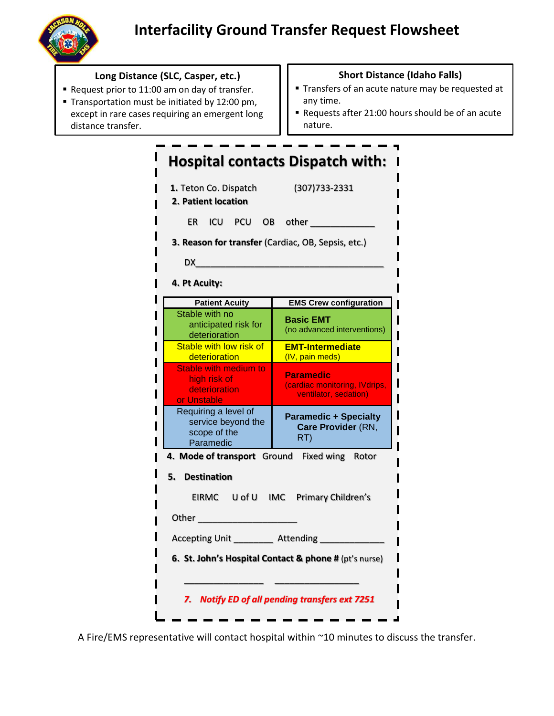

## **Long Distance (SLC, Casper, etc.)**

- Request prior to 11:00 am on day of transfer.
- **Transportation must be initiated by 12:00 pm,** except in rare cases requiring an emergent long distance transfer.

## **Short Distance (Idaho Falls)**

- **Transfers of an acute nature may be requested at** any time.
- Requests after 21:00 hours should be of an acute nature.

## **Hospital contacts Dispatch with: 1.** Teton Co. Dispatch (307)733-2331 **2. Patient location**  ER ICU PCU OB other \_\_\_\_\_\_\_\_\_\_\_\_\_\_ **3. Reason for transfer** (Cardiac, OB, Sepsis, etc.) DX\_\_\_\_\_\_\_\_\_\_\_\_\_\_\_\_\_\_\_\_\_\_\_\_\_\_\_\_\_\_\_\_\_\_\_\_\_\_ **4. Pt Acuity: Patient Acuity EMS Crew configuration** Stable with no **Basic EMT** anticipated risk for (no advanced interventions) deterioration Stable with low risk of ı **EMT-Intermediate** I **deterioration** (IV, pain meds) Stable with medium to **Paramedic** ı high risk of (cardiac monitoring, IVdrips, **deterioration** ı ventilator, sedation) or Unstable Requiring a level of **Paramedic + Specialty**  service beyond the **Care Provider** (RN, ı scope of the RT) Paramedic  **4. Mode of transport** Ground Fixed wing Rotor **5. Destination** EIRMC U of U IMC Primary Children's Other \_\_\_\_\_\_\_\_\_\_\_\_\_\_\_\_\_\_\_\_ Accepting Unit **Attending 6. St. John's Hospital Contact & phone #** (pt's nurse) \_\_\_\_\_\_\_\_\_\_\_\_\_\_\_\_ \_\_\_\_\_\_\_\_\_\_\_\_\_\_\_\_\_ *7. Notify ED of all pending transfers ext 7251*

A Fire/EMS representative will contact hospital within ~10 minutes to discuss the transfer.